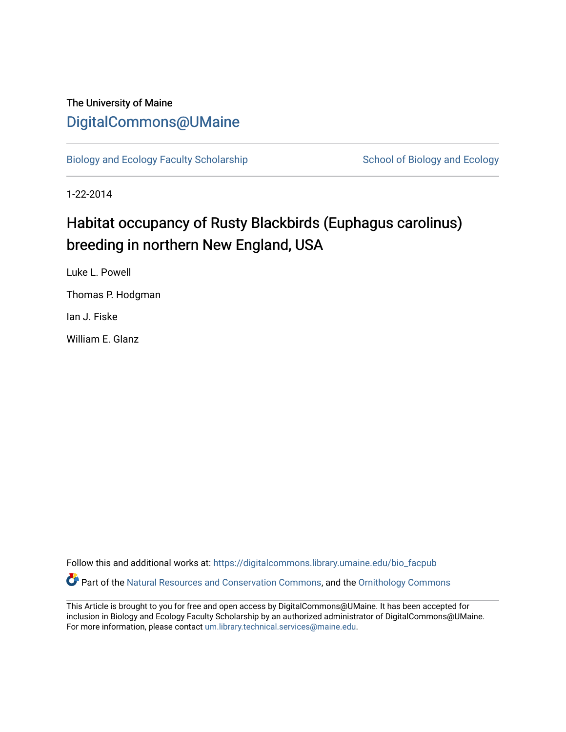# The University of Maine [DigitalCommons@UMaine](https://digitalcommons.library.umaine.edu/)

[Biology and Ecology Faculty Scholarship](https://digitalcommons.library.umaine.edu/bio_facpub) [School of Biology and Ecology](https://digitalcommons.library.umaine.edu/bio) and Ecology

1-22-2014

# Habitat occupancy of Rusty Blackbirds (Euphagus carolinus) breeding in northern New England, USA

Luke L. Powell Thomas P. Hodgman Ian J. Fiske

William E. Glanz

Follow this and additional works at: [https://digitalcommons.library.umaine.edu/bio\\_facpub](https://digitalcommons.library.umaine.edu/bio_facpub?utm_source=digitalcommons.library.umaine.edu%2Fbio_facpub%2F13&utm_medium=PDF&utm_campaign=PDFCoverPages)  Part of the [Natural Resources and Conservation Commons,](http://network.bepress.com/hgg/discipline/168?utm_source=digitalcommons.library.umaine.edu%2Fbio_facpub%2F13&utm_medium=PDF&utm_campaign=PDFCoverPages) and the [Ornithology Commons](http://network.bepress.com/hgg/discipline/1190?utm_source=digitalcommons.library.umaine.edu%2Fbio_facpub%2F13&utm_medium=PDF&utm_campaign=PDFCoverPages) 

This Article is brought to you for free and open access by DigitalCommons@UMaine. It has been accepted for inclusion in Biology and Ecology Faculty Scholarship by an authorized administrator of DigitalCommons@UMaine. For more information, please contact [um.library.technical.services@maine.edu](mailto:um.library.technical.services@maine.edu).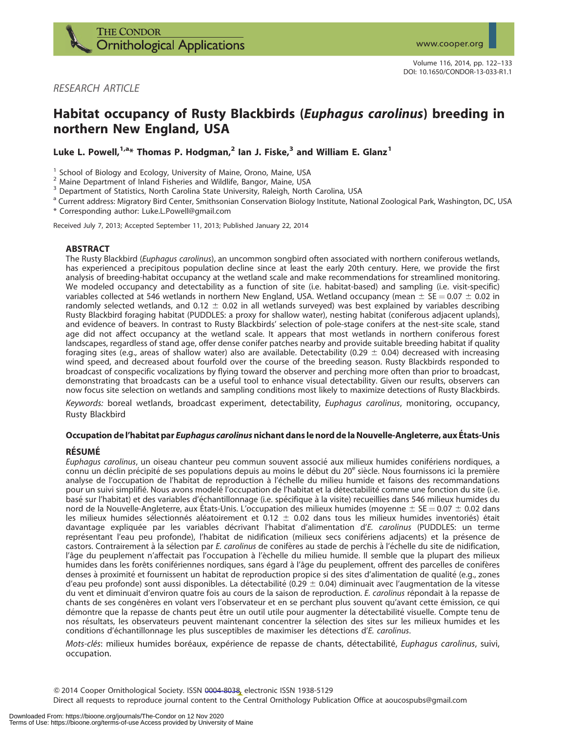

# RESEARCH ARTICLE

# Habitat occupancy of Rusty Blackbirds (Euphagus carolinus) breeding in northern New England, USA

Luke L. Powell,<sup>1,a\*</sup> Thomas P. Hodgman,<sup>2</sup> Ian J. Fiske,<sup>3</sup> and William E. Glanz<sup>1</sup>

<sup>1</sup> School of Biology and Ecology, University of Maine, Orono, Maine, USA<br>
<sup>2</sup> Maine Department of Inland Fisheries and Wildlife, Bangor, Maine, USA<br>
<sup>3</sup> Department of Statistics, North Carolina State University, Raleigh,

<sup>a</sup> Current address: Migratory Bird Center, Smithsonian Conservation Biology Institute, National Zoological Park, Washington, DC, USA

\* Corresponding author: Luke.L.Powell@gmail.com

Received July 7, 2013; Accepted September 11, 2013; Published January 22, 2014

# ABSTRACT

The Rusty Blackbird (Euphagus carolinus), an uncommon songbird often associated with northern coniferous wetlands, has experienced a precipitous population decline since at least the early 20th century. Here, we provide the first analysis of breeding-habitat occupancy at the wetland scale and make recommendations for streamlined monitoring. We modeled occupancy and detectability as a function of site (i.e. habitat-based) and sampling (i.e. visit-specific) variables collected at 546 wetlands in northern New England, USA. Wetland occupancy (mean  $\pm$  SE  $=$  0.07  $\pm$  0.02 in randomly selected wetlands, and 0.12  $\pm$  0.02 in all wetlands surveyed) was best explained by variables describing Rusty Blackbird foraging habitat (PUDDLES: a proxy for shallow water), nesting habitat (coniferous adjacent uplands), and evidence of beavers. In contrast to Rusty Blackbirds' selection of pole-stage conifers at the nest-site scale, stand age did not affect occupancy at the wetland scale. It appears that most wetlands in northern coniferous forest landscapes, regardless of stand age, offer dense conifer patches nearby and provide suitable breeding habitat if quality foraging sites (e.g., areas of shallow water) also are available. Detectability (0.29  $\pm$  0.04) decreased with increasing wind speed, and decreased about fourfold over the course of the breeding season. Rusty Blackbirds responded to broadcast of conspecific vocalizations by flying toward the observer and perching more often than prior to broadcast, demonstrating that broadcasts can be a useful tool to enhance visual detectability. Given our results, observers can now focus site selection on wetlands and sampling conditions most likely to maximize detections of Rusty Blackbirds.

Keywords: boreal wetlands, broadcast experiment, detectability, Euphagus carolinus, monitoring, occupancy, Rusty Blackbird

# Occupation de l'habitat par Euphagus carolinus nichant dans le nord de la Nouvelle-Angleterre, aux Etats-Unis ´

# **RÉSUMÉ**

Euphagus carolinus, un oiseau chanteur peu commun souvent associé aux milieux humides conifériens nordiques, a connu un déclin précipité de ses populations depuis au moins le début du 20<sup>e</sup> siècle. Nous fournissons ici la première analyse de l'occupation de l'habitat de reproduction à l'échelle du milieu humide et faisons des recommandations pour un suivi simplifié. Nous avons modelé l'occupation de l'habitat et la détectabilité comme une fonction du site (i.e. basé sur l'habitat) et des variables d'échantillonnage (i.e. spécifique à la visite) recueillies dans 546 milieux humides du nord de la Nouvelle-Angleterre, aux États-Unis. L'occupation des milieux humides (moyenne  $\pm$  SE = 0.07  $\pm$  0.02 dans les milieux humides sélectionnés aléatoirement et 0.12  $\pm$  0.02 dans tous les milieux humides inventoriés) était davantage expliquée par les variables décrivant l'habitat d'alimentation d'E. carolinus (PUDDLES: un terme représentant l'eau peu profonde), l'habitat de nidification (milieux secs conifériens adjacents) et la présence de castors. Contrairement à la sélection par E. carolinus de conifères au stade de perchis à l'échelle du site de nidification, l'âge du peuplement n'affectait pas l'occupation à l'èchelle du milieu humide. Il semble que la plupart des milieux humides dans les forêts conifériennes nordiques, sans égard à l'âge du peuplement, offrent des parcelles de conifères denses à proximité et fournissent un habitat de reproduction propice si des sites d'alimentation de qualité (e.g., zones d'eau peu profonde) sont aussi disponibles. La détectabilité (0.29  $\pm$  0.04) diminuait avec l'augmentation de la vitesse du vent et diminuait d'environ quatre fois au cours de la saison de reproduction. E. carolinus répondait à la repasse de chants de ses congénères en volant vers l'observateur et en se perchant plus souvent qu'avant cette émission, ce qui démontre que la repasse de chants peut être un outil utile pour augmenter la détectabilité visuelle. Compte tenu de nos résultats, les observateurs peuvent maintenant concentrer la sélection des sites sur les milieux humides et les conditions d'échantillonnage les plus susceptibles de maximiser les détections d'E. carolinus.

Mots-clés: milieux humides boréaux, expérience de repasse de chants, détectabilité, Euphagus carolinus, suivi, occupation.

Q 2014 Cooper Ornithological Society. ISSN 0004-8038, electronic ISSN 1938-5129

Direct all requests to reproduce journal content to the Central Ornithology Publication Office at aoucospubs@gmail.com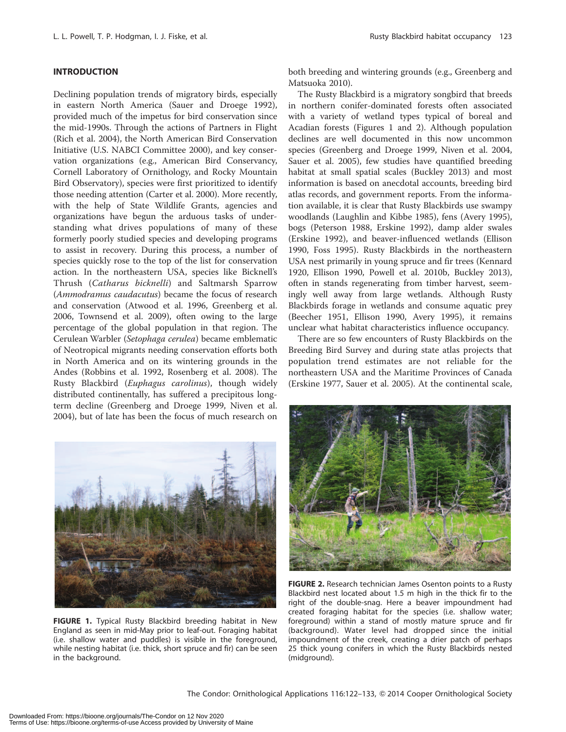# INTRODUCTION

Declining population trends of migratory birds, especially in eastern North America (Sauer and Droege 1992), provided much of the impetus for bird conservation since the mid-1990s. Through the actions of Partners in Flight (Rich et al. 2004), the North American Bird Conservation Initiative (U.S. NABCI Committee 2000), and key conservation organizations (e.g., American Bird Conservancy, Cornell Laboratory of Ornithology, and Rocky Mountain Bird Observatory), species were first prioritized to identify those needing attention (Carter et al. 2000). More recently, with the help of State Wildlife Grants, agencies and organizations have begun the arduous tasks of understanding what drives populations of many of these formerly poorly studied species and developing programs to assist in recovery. During this process, a number of species quickly rose to the top of the list for conservation action. In the northeastern USA, species like Bicknell's Thrush (Catharus bicknelli) and Saltmarsh Sparrow (Ammodramus caudacutus) became the focus of research and conservation (Atwood et al. 1996, Greenberg et al. 2006, Townsend et al. 2009), often owing to the large percentage of the global population in that region. The Cerulean Warbler (Setophaga cerulea) became emblematic of Neotropical migrants needing conservation efforts both in North America and on its wintering grounds in the Andes (Robbins et al. 1992, Rosenberg et al. 2008). The Rusty Blackbird (Euphagus carolinus), though widely distributed continentally, has suffered a precipitous longterm decline (Greenberg and Droege 1999, Niven et al. 2004), but of late has been the focus of much research on

both breeding and wintering grounds (e.g., Greenberg and Matsuoka 2010).

The Rusty Blackbird is a migratory songbird that breeds in northern conifer-dominated forests often associated with a variety of wetland types typical of boreal and Acadian forests (Figures 1 and 2). Although population declines are well documented in this now uncommon species (Greenberg and Droege 1999, Niven et al. 2004, Sauer et al. 2005), few studies have quantified breeding habitat at small spatial scales (Buckley 2013) and most information is based on anecdotal accounts, breeding bird atlas records, and government reports. From the information available, it is clear that Rusty Blackbirds use swampy woodlands (Laughlin and Kibbe 1985), fens (Avery 1995), bogs (Peterson 1988, Erskine 1992), damp alder swales (Erskine 1992), and beaver-influenced wetlands (Ellison 1990, Foss 1995). Rusty Blackbirds in the northeastern USA nest primarily in young spruce and fir trees (Kennard 1920, Ellison 1990, Powell et al. 2010b, Buckley 2013), often in stands regenerating from timber harvest, seemingly well away from large wetlands. Although Rusty Blackbirds forage in wetlands and consume aquatic prey (Beecher 1951, Ellison 1990, Avery 1995), it remains unclear what habitat characteristics influence occupancy.

There are so few encounters of Rusty Blackbirds on the Breeding Bird Survey and during state atlas projects that population trend estimates are not reliable for the northeastern USA and the Maritime Provinces of Canada (Erskine 1977, Sauer et al. 2005). At the continental scale,



FIGURE 1. Typical Rusty Blackbird breeding habitat in New England as seen in mid-May prior to leaf-out. Foraging habitat (i.e. shallow water and puddles) is visible in the foreground, while nesting habitat (i.e. thick, short spruce and fir) can be seen in the background.



FIGURE 2. Research technician James Osenton points to a Rusty Blackbird nest located about 1.5 m high in the thick fir to the right of the double-snag. Here a beaver impoundment had created foraging habitat for the species (i.e. shallow water; foreground) within a stand of mostly mature spruce and fir (background). Water level had dropped since the initial impoundment of the creek, creating a drier patch of perhaps 25 thick young conifers in which the Rusty Blackbirds nested (midground).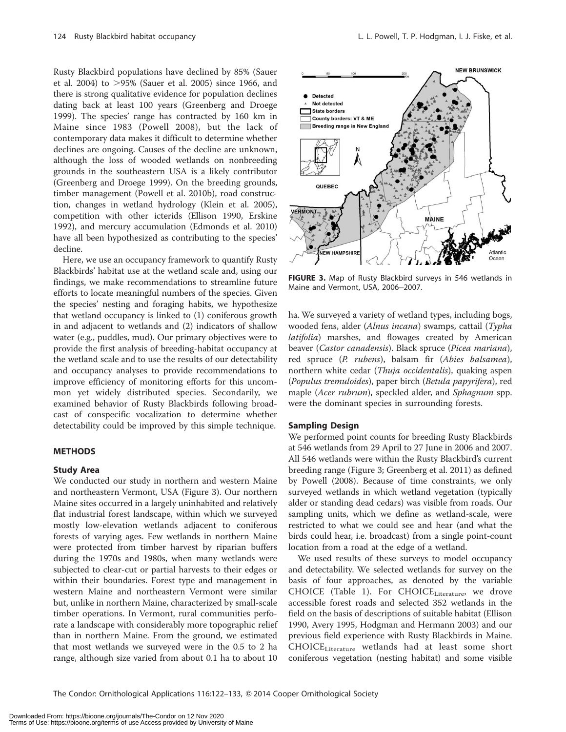Rusty Blackbird populations have declined by 85% (Sauer et al. 2004) to  $>95\%$  (Sauer et al. 2005) since 1966, and there is strong qualitative evidence for population declines dating back at least 100 years (Greenberg and Droege 1999). The species' range has contracted by 160 km in Maine since 1983 (Powell 2008), but the lack of contemporary data makes it difficult to determine whether declines are ongoing. Causes of the decline are unknown, although the loss of wooded wetlands on nonbreeding grounds in the southeastern USA is a likely contributor (Greenberg and Droege 1999). On the breeding grounds, timber management (Powell et al. 2010b), road construction, changes in wetland hydrology (Klein et al. 2005), competition with other icterids (Ellison 1990, Erskine 1992), and mercury accumulation (Edmonds et al. 2010) have all been hypothesized as contributing to the species' decline.

Here, we use an occupancy framework to quantify Rusty Blackbirds' habitat use at the wetland scale and, using our findings, we make recommendations to streamline future efforts to locate meaningful numbers of the species. Given the species' nesting and foraging habits, we hypothesize that wetland occupancy is linked to (1) coniferous growth in and adjacent to wetlands and (2) indicators of shallow water (e.g., puddles, mud). Our primary objectives were to provide the first analysis of breeding-habitat occupancy at the wetland scale and to use the results of our detectability and occupancy analyses to provide recommendations to improve efficiency of monitoring efforts for this uncommon yet widely distributed species. Secondarily, we examined behavior of Rusty Blackbirds following broadcast of conspecific vocalization to determine whether detectability could be improved by this simple technique.

#### METHODS

#### Study Area

We conducted our study in northern and western Maine and northeastern Vermont, USA (Figure 3). Our northern Maine sites occurred in a largely uninhabited and relatively flat industrial forest landscape, within which we surveyed mostly low-elevation wetlands adjacent to coniferous forests of varying ages. Few wetlands in northern Maine were protected from timber harvest by riparian buffers during the 1970s and 1980s, when many wetlands were subjected to clear-cut or partial harvests to their edges or within their boundaries. Forest type and management in western Maine and northeastern Vermont were similar but, unlike in northern Maine, characterized by small-scale timber operations. In Vermont, rural communities perforate a landscape with considerably more topographic relief than in northern Maine. From the ground, we estimated that most wetlands we surveyed were in the 0.5 to 2 ha range, although size varied from about 0.1 ha to about 10



FIGURE 3. Map of Rusty Blackbird surveys in 546 wetlands in Maine and Vermont, USA, 2006-2007.

ha. We surveyed a variety of wetland types, including bogs, wooded fens, alder (Alnus incana) swamps, cattail (Typha latifolia) marshes, and flowages created by American beaver (Castor canadensis). Black spruce (Picea mariana), red spruce (P. rubens), balsam fir (Abies balsamea), northern white cedar (Thuja occidentalis), quaking aspen (Populus tremuloides), paper birch (Betula papyrifera), red maple (Acer rubrum), speckled alder, and Sphagnum spp. were the dominant species in surrounding forests.

#### Sampling Design

We performed point counts for breeding Rusty Blackbirds at 546 wetlands from 29 April to 27 June in 2006 and 2007. All 546 wetlands were within the Rusty Blackbird's current breeding range (Figure 3; Greenberg et al. 2011) as defined by Powell (2008). Because of time constraints, we only surveyed wetlands in which wetland vegetation (typically alder or standing dead cedars) was visible from roads. Our sampling units, which we define as wetland-scale, were restricted to what we could see and hear (and what the birds could hear, i.e. broadcast) from a single point-count location from a road at the edge of a wetland.

We used results of these surveys to model occupancy and detectability. We selected wetlands for survey on the basis of four approaches, as denoted by the variable CHOICE (Table 1). For  $CHOICE_{\text{Literature}}$ , we drove accessible forest roads and selected 352 wetlands in the field on the basis of descriptions of suitable habitat (Ellison 1990, Avery 1995, Hodgman and Hermann 2003) and our previous field experience with Rusty Blackbirds in Maine. CHOICELiterature wetlands had at least some short coniferous vegetation (nesting habitat) and some visible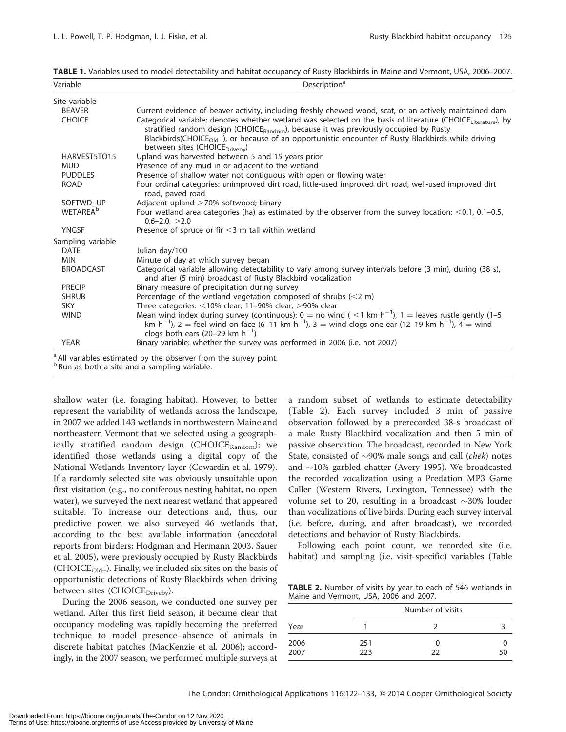| Site variable               |                                                                                                                                                                                                                                                                                                                                                                        |
|-----------------------------|------------------------------------------------------------------------------------------------------------------------------------------------------------------------------------------------------------------------------------------------------------------------------------------------------------------------------------------------------------------------|
| <b>BEAVER</b>               | Current evidence of beaver activity, including freshly chewed wood, scat, or an actively maintained dam                                                                                                                                                                                                                                                                |
| <b>CHOICE</b>               | Categorical variable; denotes whether wetland was selected on the basis of literature (CHOICELiterature), by<br>stratified random design (CHOICERandom), because it was previously occupied by Rusty<br>Blackbirds (CHOICE <sub>Old+</sub> ), or because of an opportunistic encounter of Rusty Blackbirds while driving<br>between sites (CHOICE <sub>Driveby</sub> ) |
| HARVEST5TO15                | Upland was harvested between 5 and 15 years prior                                                                                                                                                                                                                                                                                                                      |
| <b>MUD</b>                  | Presence of any mud in or adjacent to the wetland                                                                                                                                                                                                                                                                                                                      |
| <b>PUDDLES</b>              | Presence of shallow water not contiguous with open or flowing water                                                                                                                                                                                                                                                                                                    |
| <b>ROAD</b>                 | Four ordinal categories: unimproved dirt road, little-used improved dirt road, well-used improved dirt<br>road, paved road                                                                                                                                                                                                                                             |
| SOFTWD UP                   | Adjacent upland >70% softwood; binary                                                                                                                                                                                                                                                                                                                                  |
| <b>WETAREA</b> <sup>b</sup> | Four wetland area categories (ha) as estimated by the observer from the survey location: <0.1, 0.1-0.5,<br>$0.6 - 2.0$ , $> 2.0$                                                                                                                                                                                                                                       |
| <b>YNGSF</b>                | Presence of spruce or fir $<$ 3 m tall within wetland                                                                                                                                                                                                                                                                                                                  |
| Sampling variable           |                                                                                                                                                                                                                                                                                                                                                                        |
| <b>DATE</b>                 | Julian day/100                                                                                                                                                                                                                                                                                                                                                         |
| <b>MIN</b>                  | Minute of day at which survey began                                                                                                                                                                                                                                                                                                                                    |
| <b>BROADCAST</b>            | Categorical variable allowing detectability to vary among survey intervals before (3 min), during (38 s),<br>and after (5 min) broadcast of Rusty Blackbird vocalization                                                                                                                                                                                               |
| <b>PRECIP</b>               | Binary measure of precipitation during survey                                                                                                                                                                                                                                                                                                                          |
| <b>SHRUB</b>                | Percentage of the wetland vegetation composed of shrubs $(< 2 m)$                                                                                                                                                                                                                                                                                                      |
| <b>SKY</b>                  | Three categories: $<$ 10% clear, 11-90% clear, $>$ 90% clear                                                                                                                                                                                                                                                                                                           |
| <b>WIND</b>                 | Mean wind index during survey (continuous): $0 =$ no wind ( <1 km h <sup>-1</sup> ), 1 = leaves rustle gently (1-5<br>km h <sup>-1</sup> ), 2 = feel wind on face (6-11 km h <sup>-1</sup> ), 3 = wind clogs one ear (12-19 km h <sup>-1</sup> ), 4 = wind<br>clogs both ears (20–29 km $h^{-1}$ )                                                                     |
| <b>YEAR</b>                 | Binary variable: whether the survey was performed in 2006 (i.e. not 2007)                                                                                                                                                                                                                                                                                              |

 $<sup>b</sup>$  Run as both a site and a sampling variable.</sup>

shallow water (i.e. foraging habitat). However, to better represent the variability of wetlands across the landscape, in 2007 we added 143 wetlands in northwestern Maine and northeastern Vermont that we selected using a geographically stratified random design (CHOICE $_{\text{Random}}$ ); we identified those wetlands using a digital copy of the National Wetlands Inventory layer (Cowardin et al. 1979). If a randomly selected site was obviously unsuitable upon first visitation (e.g., no coniferous nesting habitat, no open water), we surveyed the next nearest wetland that appeared suitable. To increase our detections and, thus, our predictive power, we also surveyed 46 wetlands that, according to the best available information (anecdotal reports from birders; Hodgman and Hermann 2003, Sauer et al. 2005), were previously occupied by Rusty Blackbirds (CHOICE<sub>Old+</sub>). Finally, we included six sites on the basis of opportunistic detections of Rusty Blackbirds when driving between sites (CHOICE<sub>Driveby</sub>).

During the 2006 season, we conducted one survey per wetland. After this first field season, it became clear that occupancy modeling was rapidly becoming the preferred technique to model presence–absence of animals in discrete habitat patches (MacKenzie et al. 2006); accordingly, in the 2007 season, we performed multiple surveys at a random subset of wetlands to estimate detectability (Table 2). Each survey included 3 min of passive observation followed by a prerecorded 38-s broadcast of a male Rusty Blackbird vocalization and then 5 min of passive observation. The broadcast, recorded in New York State, consisted of  $\sim$ 90% male songs and call (*chek*) notes and  $\sim$ 10% garbled chatter (Avery 1995). We broadcasted the recorded vocalization using a Predation MP3 Game Caller (Western Rivers, Lexington, Tennessee) with the volume set to 20, resulting in a broadcast  $\sim$ 30% louder than vocalizations of live birds. During each survey interval (i.e. before, during, and after broadcast), we recorded detections and behavior of Rusty Blackbirds.

Following each point count, we recorded site (i.e. habitat) and sampling (i.e. visit-specific) variables (Table

TABLE 2. Number of visits by year to each of 546 wetlands in Maine and Vermont, USA, 2006 and 2007.

|              |            | Number of visits |    |
|--------------|------------|------------------|----|
| Year         |            |                  |    |
| 2006<br>2007 | 251<br>223 | O<br>フフ          | 50 |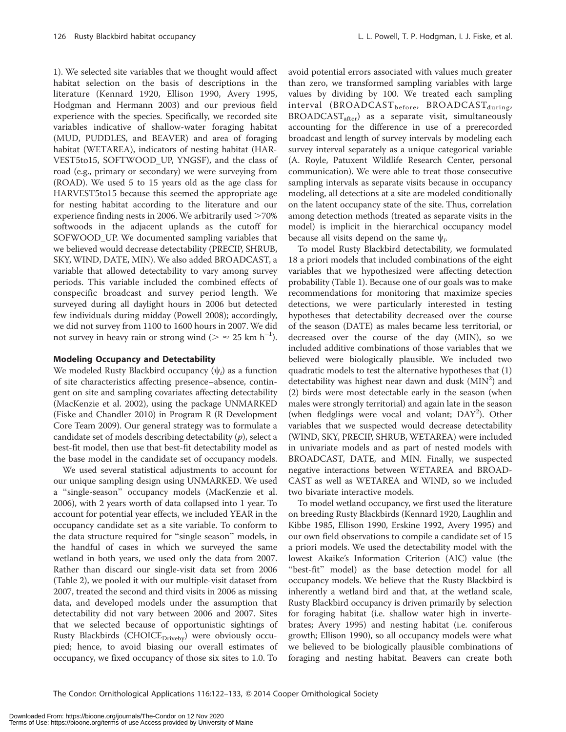1). We selected site variables that we thought would affect habitat selection on the basis of descriptions in the literature (Kennard 1920, Ellison 1990, Avery 1995, Hodgman and Hermann 2003) and our previous field experience with the species. Specifically, we recorded site variables indicative of shallow-water foraging habitat (MUD, PUDDLES, and BEAVER) and area of foraging habitat (WETAREA), indicators of nesting habitat (HAR-VEST5to15, SOFTWOOD\_UP, YNGSF), and the class of road (e.g., primary or secondary) we were surveying from (ROAD). We used 5 to 15 years old as the age class for HARVEST5to15 because this seemed the appropriate age for nesting habitat according to the literature and our experience finding nests in 2006. We arbitrarily used  $>70\%$ softwoods in the adjacent uplands as the cutoff for SOFWOOD\_UP. We documented sampling variables that we believed would decrease detectability (PRECIP, SHRUB, SKY, WIND, DATE, MIN). We also added BROADCAST, a variable that allowed detectability to vary among survey periods. This variable included the combined effects of conspecific broadcast and survey period length. We surveyed during all daylight hours in 2006 but detected few individuals during midday (Powell 2008); accordingly, we did not survey from 1100 to 1600 hours in 2007. We did not survey in heavy rain or strong wind ( $> \approx 25$  km h<sup>-1</sup>).

#### Modeling Occupancy and Detectability

We modeled Rusty Blackbird occupancy  $(\psi_i)$  as a function of site characteristics affecting presence–absence, contingent on site and sampling covariates affecting detectability (MacKenzie et al. 2002), using the package UNMARKED (Fiske and Chandler 2010) in Program R (R Development Core Team 2009). Our general strategy was to formulate a candidate set of models describing detectability  $(p)$ , select a best-fit model, then use that best-fit detectability model as the base model in the candidate set of occupancy models.

We used several statistical adjustments to account for our unique sampling design using UNMARKED. We used a ''single-season'' occupancy models (MacKenzie et al. 2006), with 2 years worth of data collapsed into 1 year. To account for potential year effects, we included YEAR in the occupancy candidate set as a site variable. To conform to the data structure required for ''single season'' models, in the handful of cases in which we surveyed the same wetland in both years, we used only the data from 2007. Rather than discard our single-visit data set from 2006 (Table 2), we pooled it with our multiple-visit dataset from 2007, treated the second and third visits in 2006 as missing data, and developed models under the assumption that detectability did not vary between 2006 and 2007. Sites that we selected because of opportunistic sightings of Rusty Blackbirds (CHOIC $E_{\text{Driveby}}$ ) were obviously occupied; hence, to avoid biasing our overall estimates of occupancy, we fixed occupancy of those six sites to 1.0. To

avoid potential errors associated with values much greater than zero, we transformed sampling variables with large values by dividing by 100. We treated each sampling  $interval$  (BROADCAST<sub>before</sub>, BROADCAST<sub>during</sub>, BROADCAST<sub>after</sub>) as a separate visit, simultaneously accounting for the difference in use of a prerecorded broadcast and length of survey intervals by modeling each survey interval separately as a unique categorical variable (A. Royle, Patuxent Wildlife Research Center, personal communication). We were able to treat those consecutive sampling intervals as separate visits because in occupancy modeling, all detections at a site are modeled conditionally on the latent occupancy state of the site. Thus, correlation among detection methods (treated as separate visits in the model) is implicit in the hierarchical occupancy model because all visits depend on the same  $\psi_i$ .

To model Rusty Blackbird detectability, we formulated 18 a priori models that included combinations of the eight variables that we hypothesized were affecting detection probability (Table 1). Because one of our goals was to make recommendations for monitoring that maximize species detections, we were particularly interested in testing hypotheses that detectability decreased over the course of the season (DATE) as males became less territorial, or decreased over the course of the day (MIN), so we included additive combinations of those variables that we believed were biologically plausible. We included two quadratic models to test the alternative hypotheses that (1) detectability was highest near dawn and dusk (MIN<sup>2</sup>) and (2) birds were most detectable early in the season (when males were strongly territorial) and again late in the season (when fledglings were vocal and volant; DAY<sup>2</sup>). Other variables that we suspected would decrease detectability (WIND, SKY, PRECIP, SHRUB, WETAREA) were included in univariate models and as part of nested models with BROADCAST, DATE, and MIN. Finally, we suspected negative interactions between WETAREA and BROAD-CAST as well as WETAREA and WIND, so we included two bivariate interactive models.

To model wetland occupancy, we first used the literature on breeding Rusty Blackbirds (Kennard 1920, Laughlin and Kibbe 1985, Ellison 1990, Erskine 1992, Avery 1995) and our own field observations to compile a candidate set of 15 a priori models. We used the detectability model with the lowest Akaike's Information Criterion (AIC) value (the "best-fit" model) as the base detection model for all occupancy models. We believe that the Rusty Blackbird is inherently a wetland bird and that, at the wetland scale, Rusty Blackbird occupancy is driven primarily by selection for foraging habitat (i.e. shallow water high in invertebrates; Avery 1995) and nesting habitat (i.e. coniferous growth; Ellison 1990), so all occupancy models were what we believed to be biologically plausible combinations of foraging and nesting habitat. Beavers can create both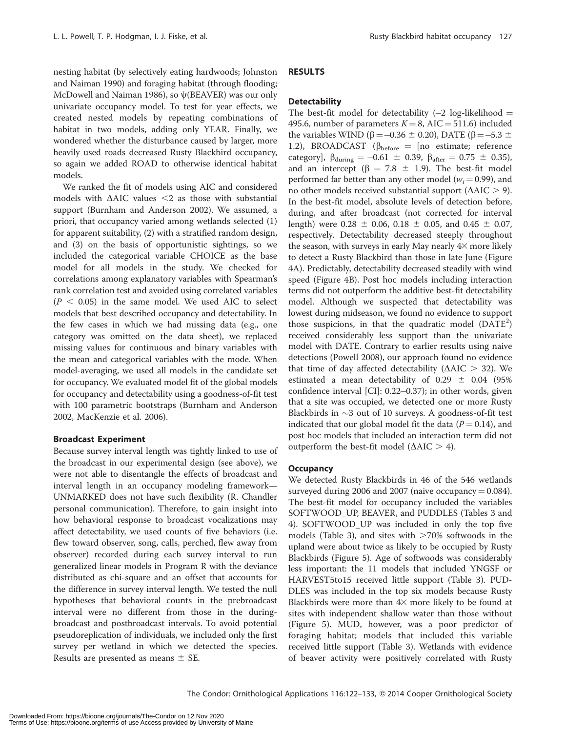nesting habitat (by selectively eating hardwoods; Johnston and Naiman 1990) and foraging habitat (through flooding; McDowell and Naiman 1986), so  $\psi$ (BEAVER) was our only univariate occupancy model. To test for year effects, we created nested models by repeating combinations of habitat in two models, adding only YEAR. Finally, we wondered whether the disturbance caused by larger, more heavily used roads decreased Rusty Blackbird occupancy, so again we added ROAD to otherwise identical habitat models.

We ranked the fit of models using AIC and considered models with  $\triangle$ AIC values <2 as those with substantial support (Burnham and Anderson 2002). We assumed, a priori, that occupancy varied among wetlands selected (1) for apparent suitability, (2) with a stratified random design, and (3) on the basis of opportunistic sightings, so we included the categorical variable CHOICE as the base model for all models in the study. We checked for correlations among explanatory variables with Spearman's rank correlation test and avoided using correlated variables  $(P < 0.05)$  in the same model. We used AIC to select models that best described occupancy and detectability. In the few cases in which we had missing data (e.g., one category was omitted on the data sheet), we replaced missing values for continuous and binary variables with the mean and categorical variables with the mode. When model-averaging, we used all models in the candidate set for occupancy. We evaluated model fit of the global models for occupancy and detectability using a goodness-of-fit test with 100 parametric bootstraps (Burnham and Anderson 2002, MacKenzie et al. 2006).

### Broadcast Experiment

Because survey interval length was tightly linked to use of the broadcast in our experimental design (see above), we were not able to disentangle the effects of broadcast and interval length in an occupancy modeling framework— UNMARKED does not have such flexibility (R. Chandler personal communication). Therefore, to gain insight into how behavioral response to broadcast vocalizations may affect detectability, we used counts of five behaviors (i.e. flew toward observer, song, calls, perched, flew away from observer) recorded during each survey interval to run generalized linear models in Program R with the deviance distributed as chi-square and an offset that accounts for the difference in survey interval length. We tested the null hypotheses that behavioral counts in the prebroadcast interval were no different from those in the duringbroadcast and postbroadcast intervals. To avoid potential pseudoreplication of individuals, we included only the first survey per wetland in which we detected the species. Results are presented as means  $\pm$  SE.

# RESULTS

# **Detectability**

The best-fit model for detectability  $(-2 \log-11)$ likelihood = 495.6, number of parameters  $K = 8$ , AIC = 511.6) included the variables WIND (β = –0.36  $\pm$  0.20), DATE (β = –5.3  $\pm$ 1.2), BROADCAST ( $\beta_{before}$  = [no estimate; reference category],  $\beta_{\text{during}} = -0.61 \pm 0.39$ ,  $\beta_{\text{after}} = 0.75 \pm 0.35$ ), and an intercept ( $\beta = 7.8 \pm 1.9$ ). The best-fit model performed far better than any other model ( $w_i = 0.99$ ), and no other models received substantial support ( $\triangle AIC > 9$ ). In the best-fit model, absolute levels of detection before, during, and after broadcast (not corrected for interval length) were 0.28  $\pm$  0.06, 0.18  $\pm$  0.05, and 0.45  $\pm$  0.07, respectively. Detectability decreased steeply throughout the season, with surveys in early May nearly  $4\times$  more likely to detect a Rusty Blackbird than those in late June (Figure 4A). Predictably, detectability decreased steadily with wind speed (Figure 4B). Post hoc models including interaction terms did not outperform the additive best-fit detectability model. Although we suspected that detectability was lowest during midseason, we found no evidence to support those suspicions, in that the quadratic model  $(DATE<sup>2</sup>)$ received considerably less support than the univariate model with DATE. Contrary to earlier results using naive detections (Powell 2008), our approach found no evidence that time of day affected detectability ( $\Delta AIC > 32$ ). We estimated a mean detectability of  $0.29 \pm 0.04$  (95% confidence interval [CI]: 0.22-0.37); in other words, given that a site was occupied, we detected one or more Rusty Blackbirds in  $\sim$ 3 out of 10 surveys. A goodness-of-fit test indicated that our global model fit the data  $(P = 0.14)$ , and post hoc models that included an interaction term did not outperform the best-fit model ( $\triangle AIC > 4$ ).

### **Occupancy**

We detected Rusty Blackbirds in 46 of the 546 wetlands surveyed during 2006 and 2007 (naive occupancy  $= 0.084$ ). The best-fit model for occupancy included the variables SOFTWOOD\_UP, BEAVER, and PUDDLES (Tables 3 and 4). SOFTWOOD\_UP was included in only the top five models (Table 3), and sites with  $>70\%$  softwoods in the upland were about twice as likely to be occupied by Rusty Blackbirds (Figure 5). Age of softwoods was considerably less important: the 11 models that included YNGSF or HARVEST5to15 received little support (Table 3). PUD-DLES was included in the top six models because Rusty Blackbirds were more than  $4\times$  more likely to be found at sites with independent shallow water than those without (Figure 5). MUD, however, was a poor predictor of foraging habitat; models that included this variable received little support (Table 3). Wetlands with evidence of beaver activity were positively correlated with Rusty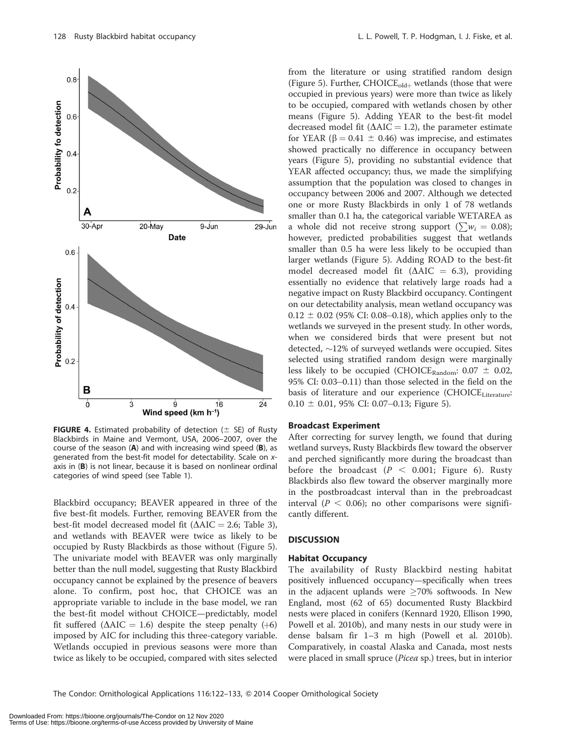



**FIGURE 4.** Estimated probability of detection ( $\pm$  SE) of Rusty Blackbirds in Maine and Vermont, USA, 2006–2007, over the course of the season  $(A)$  and with increasing wind speed  $(B)$ , as generated from the best-fit model for detectability. Scale on xaxis in (B) is not linear, because it is based on nonlinear ordinal categories of wind speed (see Table 1).

Blackbird occupancy; BEAVER appeared in three of the five best-fit models. Further, removing BEAVER from the best-fit model decreased model fit ( $\triangle AIC = 2.6$ ; Table 3), and wetlands with BEAVER were twice as likely to be occupied by Rusty Blackbirds as those without (Figure 5). The univariate model with BEAVER was only marginally better than the null model, suggesting that Rusty Blackbird occupancy cannot be explained by the presence of beavers alone. To confirm, post hoc, that CHOICE was an appropriate variable to include in the base model, we ran the best-fit model without CHOICE—predictably, model fit suffered ( $\Delta AIC = 1.6$ ) despite the steep penalty (+6) imposed by AIC for including this three-category variable. Wetlands occupied in previous seasons were more than twice as likely to be occupied, compared with sites selected

from the literature or using stratified random design (Figure 5). Further,  $CHOICE_{old+}$  wetlands (those that were occupied in previous years) were more than twice as likely to be occupied, compared with wetlands chosen by other means (Figure 5). Adding YEAR to the best-fit model decreased model fit ( $\Delta AIC = 1.2$ ), the parameter estimate for YEAR ( $\beta$  = 0.41  $\pm$  0.46) was imprecise, and estimates showed practically no difference in occupancy between years (Figure 5), providing no substantial evidence that YEAR affected occupancy; thus, we made the simplifying assumption that the population was closed to changes in occupancy between 2006 and 2007. Although we detected one or more Rusty Blackbirds in only 1 of 78 wetlands smaller than 0.1 ha, the categorical variable WETAREA as a whole did not receive strong support ( $\sum w_i = 0.08$ ); however, predicted probabilities suggest that wetlands smaller than 0.5 ha were less likely to be occupied than larger wetlands (Figure 5). Adding ROAD to the best-fit model decreased model fit ( $\triangle AIC = 6.3$ ), providing essentially no evidence that relatively large roads had a negative impact on Rusty Blackbird occupancy. Contingent on our detectability analysis, mean wetland occupancy was  $0.12 \pm 0.02$  (95% CI: 0.08–0.18), which applies only to the wetlands we surveyed in the present study. In other words, when we considered birds that were present but not detected,  $\sim$ 12% of surveyed wetlands were occupied. Sites selected using stratified random design were marginally less likely to be occupied (CHOICE<sub>Random</sub>:  $0.07 \pm 0.02$ , 95% CI: 0.03-0.11) than those selected in the field on the basis of literature and our experience (CHOICE<sub>Literature</sub>:  $0.10 \pm 0.01$ , 95% CI: 0.07–0.13; Figure 5).

#### Broadcast Experiment

After correcting for survey length, we found that during wetland surveys, Rusty Blackbirds flew toward the observer and perched significantly more during the broadcast than before the broadcast  $(P < 0.001$ ; Figure 6). Rusty Blackbirds also flew toward the observer marginally more in the postbroadcast interval than in the prebroadcast interval ( $P < 0.06$ ); no other comparisons were significantly different.

#### **DISCUSSION**

#### Habitat Occupancy

The availability of Rusty Blackbird nesting habitat positively influenced occupancy—specifically when trees in the adjacent uplands were  $\geq$ 70% softwoods. In New England, most (62 of 65) documented Rusty Blackbird nests were placed in conifers (Kennard 1920, Ellison 1990, Powell et al. 2010b), and many nests in our study were in dense balsam fir 1–3 m high (Powell et al. 2010b). Comparatively, in coastal Alaska and Canada, most nests were placed in small spruce (*Picea* sp.) trees, but in interior

The Condor: Ornithological Applications 116:122-133, @ 2014 Cooper Ornithological Society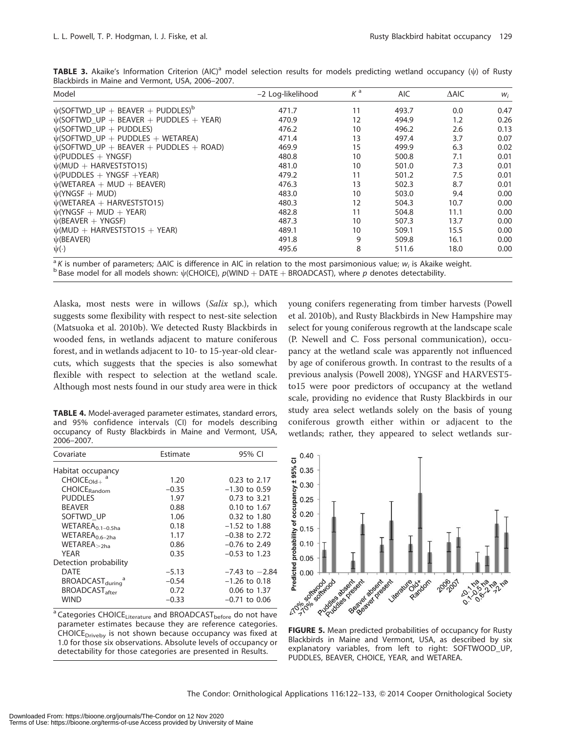| Model                                              | -2 Log-likelihood | $K^{\mathsf{a}}$ | AIC.  | $\triangle$ AIC | $W_i$ |
|----------------------------------------------------|-------------------|------------------|-------|-----------------|-------|
| $\psi$ (SOFTWD UP + BEAVER + PUDDLES) <sup>b</sup> | 471.7             | 11               | 493.7 | 0.0             | 0.47  |
| $\psi$ (SOFTWD UP + BEAVER + PUDDLES + YEAR)       | 470.9             | 12               | 494.9 | 1.2             | 0.26  |
| $\psi$ (SOFTWD_UP + PUDDLES)                       | 476.2             | 10               | 496.2 | 2.6             | 0.13  |
| $\psi$ (SOFTWD_UP + PUDDLES + WETAREA)             | 471.4             | 13               | 497.4 | 3.7             | 0.07  |
| $\psi$ (SOFTWD UP + BEAVER + PUDDLES + ROAD)       | 469.9             | 15               | 499.9 | 6.3             | 0.02  |
| $\psi$ (PUDDLES + YNGSF)                           | 480.8             | 10               | 500.8 | 7.1             | 0.01  |
| $\psi$ (MUD + HARVEST5TO15)                        | 481.0             | 10               | 501.0 | 7.3             | 0.01  |
| $\psi$ (PUDDLES + YNGSF +YEAR)                     | 479.2             | 11               | 501.2 | 7.5             | 0.01  |
| $\psi$ (WETAREA + MUD + BEAVER)                    | 476.3             | 13               | 502.3 | 8.7             | 0.01  |
| $\psi$ (YNGSF + MUD)                               | 483.0             | 10               | 503.0 | 9.4             | 0.00  |
| $\psi$ (WETAREA + HARVEST5TO15)                    | 480.3             | 12               | 504.3 | 10.7            | 0.00  |
| $\psi$ (YNGSF + MUD + YEAR)                        | 482.8             | 11               | 504.8 | 11.1            | 0.00  |
| $\psi$ (BEAVER + YNGSF)                            | 487.3             | 10               | 507.3 | 13.7            | 0.00  |
| $\psi$ (MUD + HARVEST5TO15 + YEAR)                 | 489.1             | 10               | 509.1 | 15.5            | 0.00  |
| $\psi$ (BEAVER)                                    | 491.8             | 9                | 509.8 | 16.1            | 0.00  |
| $\psi(\cdot)$                                      | 495.6             | 8                | 511.6 | 18.0            | 0.00  |

**TABLE 3.** Akaike's Information Criterion (AIC)<sup>a</sup> model selection results for models predicting wetland occupancy ( $\psi$ ) of Rusty Blackbirds in Maine and Vermont, USA, 2006–2007.

<sup>a</sup> K is number of parameters;  $\Delta$ AIC is difference in AIC in relation to the most parsimonious value;  $w_i$  is Akaike weight. b Base model for all models shown:  $\psi$ (CHOICE), p(WIND + DATE + BROADCAST), where p denotes d

Alaska, most nests were in willows (Salix sp.), which suggests some flexibility with respect to nest-site selection (Matsuoka et al. 2010b). We detected Rusty Blackbirds in wooded fens, in wetlands adjacent to mature coniferous forest, and in wetlands adjacent to 10- to 15-year-old clearcuts, which suggests that the species is also somewhat flexible with respect to selection at the wetland scale. Although most nests found in our study area were in thick

TABLE 4. Model-averaged parameter estimates, standard errors, and 95% confidence intervals (CI) for models describing occupancy of Rusty Blackbirds in Maine and Vermont, USA, 2006–2007.

| Covariate                         | Estimate | 95% CI             |
|-----------------------------------|----------|--------------------|
| Habitat occupancy                 |          |                    |
| $CHOICEOld+$                      | 1.20     | 0.23 to 2.17       |
| CHOICE <sub>Random</sub>          | $-0.35$  | $-1.30$ to 0.59    |
| <b>PUDDLES</b>                    | 1.97     | 0.73 to 3.21       |
| <b>BEAVER</b>                     | 0.88     | 0.10 to 1.67       |
| SOFTWD UP                         | 1.06     | 0.32 to 1.80       |
| WETAREA <sub>0.1-0.5ha</sub>      | 0.18     | $-1.52$ to $1.88$  |
| WETAREA <sub>0.6-2ha</sub>        | 1.17     | $-0.38$ to 2.72    |
| $WETAREA_{>2ha}$                  | 0.86     | $-0.76$ to 2.49    |
| YFAR                              | 0.35     | $-0.53$ to 1.23    |
| Detection probability             |          |                    |
| DATE                              | $-5.13$  | $-7.43$ to $-2.84$ |
| BROADCAST <sub>during</sub>       | $-0.54$  | $-1.26$ to 0.18    |
| <b>BROADCAST</b> <sub>after</sub> | 0.72     | 0.06 to 1.37       |
| Wind                              | $-0.33$  | –0.71 to 0.06      |

 $^{\rm a}$  Categories CHOICE<sub>Literature</sub> and BROADCAST<sub>before</sub> do not have parameter estimates because they are reference categories. CHOICE $_{\text{Divebv}}$  is not shown because occupancy was fixed at 1.0 for those six observations. Absolute levels of occupancy or detectability for those categories are presented in Results.

young conifers regenerating from timber harvests (Powell et al. 2010b), and Rusty Blackbirds in New Hampshire may select for young coniferous regrowth at the landscape scale (P. Newell and C. Foss personal communication), occupancy at the wetland scale was apparently not influenced by age of coniferous growth. In contrast to the results of a previous analysis (Powell 2008), YNGSF and HARVEST5 to15 were poor predictors of occupancy at the wetland scale, providing no evidence that Rusty Blackbirds in our study area select wetlands solely on the basis of young coniferous growth either within or adjacent to the wetlands; rather, they appeared to select wetlands sur-



Blackbirds in Maine and Vermont, USA, as described by six explanatory variables, from left to right: SOFTWOOD\_UP, PUDDLES, BEAVER, CHOICE, YEAR, and WETAREA.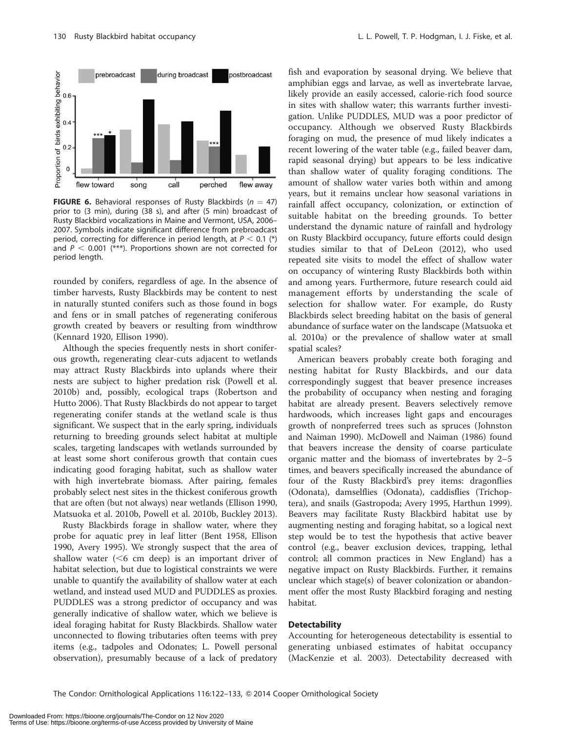

**FIGURE 6.** Behavioral responses of Rusty Blackbirds ( $n = 47$ ) prior to (3 min), during (38 s), and after (5 min) broadcast of Rusty Blackbird vocalizations in Maine and Vermont, USA, 2006– 2007. Symbols indicate significant difference from prebroadcast period, correcting for difference in period length, at  $P < 0.1$  (\*) and  $P < 0.001$  (\*\*\*). Proportions shown are not corrected for period length.

rounded by conifers, regardless of age. In the absence of timber harvests, Rusty Blackbirds may be content to nest in naturally stunted conifers such as those found in bogs and fens or in small patches of regenerating coniferous growth created by beavers or resulting from windthrow (Kennard 1920, Ellison 1990).

Although the species frequently nests in short coniferous growth, regenerating clear-cuts adjacent to wetlands may attract Rusty Blackbirds into uplands where their nests are subject to higher predation risk (Powell et al. 2010b) and, possibly, ecological traps (Robertson and Hutto 2006). That Rusty Blackbirds do not appear to target regenerating conifer stands at the wetland scale is thus significant. We suspect that in the early spring, individuals returning to breeding grounds select habitat at multiple scales, targeting landscapes with wetlands surrounded by at least some short coniferous growth that contain cues indicating good foraging habitat, such as shallow water with high invertebrate biomass. After pairing, females probably select nest sites in the thickest coniferous growth that are often (but not always) near wetlands (Ellison 1990, Matsuoka et al. 2010b, Powell et al. 2010b, Buckley 2013).

Rusty Blackbirds forage in shallow water, where they probe for aquatic prey in leaf litter (Bent 1958, Ellison 1990, Avery 1995). We strongly suspect that the area of shallow water  $( $6 \text{ cm}$  deep)$  is an important driver of habitat selection, but due to logistical constraints we were unable to quantify the availability of shallow water at each wetland, and instead used MUD and PUDDLES as proxies. PUDDLES was a strong predictor of occupancy and was generally indicative of shallow water, which we believe is ideal foraging habitat for Rusty Blackbirds. Shallow water unconnected to flowing tributaries often teems with prey items (e.g., tadpoles and Odonates; L. Powell personal observation), presumably because of a lack of predatory

fish and evaporation by seasonal drying. We believe that amphibian eggs and larvae, as well as invertebrate larvae, likely provide an easily accessed, calorie-rich food source in sites with shallow water; this warrants further investigation. Unlike PUDDLES, MUD was a poor predictor of occupancy. Although we observed Rusty Blackbirds foraging on mud, the presence of mud likely indicates a recent lowering of the water table (e.g., failed beaver dam, rapid seasonal drying) but appears to be less indicative than shallow water of quality foraging conditions. The amount of shallow water varies both within and among years, but it remains unclear how seasonal variations in rainfall affect occupancy, colonization, or extinction of suitable habitat on the breeding grounds. To better understand the dynamic nature of rainfall and hydrology on Rusty Blackbird occupancy, future efforts could design studies similar to that of DeLeon (2012), who used repeated site visits to model the effect of shallow water on occupancy of wintering Rusty Blackbirds both within and among years. Furthermore, future research could aid management efforts by understanding the scale of selection for shallow water. For example, do Rusty Blackbirds select breeding habitat on the basis of general abundance of surface water on the landscape (Matsuoka et al. 2010a) or the prevalence of shallow water at small spatial scales?

American beavers probably create both foraging and nesting habitat for Rusty Blackbirds, and our data correspondingly suggest that beaver presence increases the probability of occupancy when nesting and foraging habitat are already present. Beavers selectively remove hardwoods, which increases light gaps and encourages growth of nonpreferred trees such as spruces (Johnston and Naiman 1990). McDowell and Naiman (1986) found that beavers increase the density of coarse particulate organic matter and the biomass of invertebrates by 2–5 times, and beavers specifically increased the abundance of four of the Rusty Blackbird's prey items: dragonflies (Odonata), damselflies (Odonata), caddisflies (Trichoptera), and snails (Gastropoda; Avery 1995, Harthun 1999). Beavers may facilitate Rusty Blackbird habitat use by augmenting nesting and foraging habitat, so a logical next step would be to test the hypothesis that active beaver control (e.g., beaver exclusion devices, trapping, lethal control; all common practices in New England) has a negative impact on Rusty Blackbirds. Further, it remains unclear which stage(s) of beaver colonization or abandonment offer the most Rusty Blackbird foraging and nesting habitat.

#### **Detectability**

Accounting for heterogeneous detectability is essential to generating unbiased estimates of habitat occupancy (MacKenzie et al. 2003). Detectability decreased with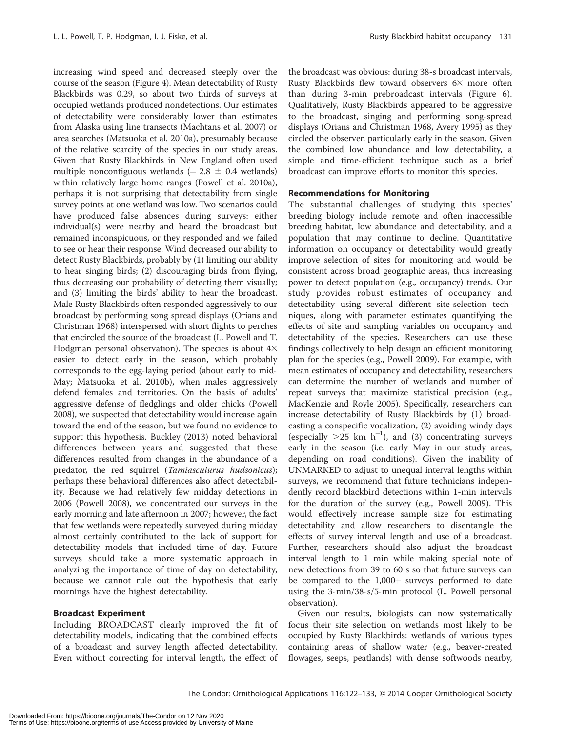increasing wind speed and decreased steeply over the course of the season (Figure 4). Mean detectability of Rusty Blackbirds was 0.29, so about two thirds of surveys at occupied wetlands produced nondetections. Our estimates of detectability were considerably lower than estimates from Alaska using line transects (Machtans et al. 2007) or area searches (Matsuoka et al. 2010a), presumably because of the relative scarcity of the species in our study areas. Given that Rusty Blackbirds in New England often used multiple noncontiguous wetlands ( $= 2.8 \pm 0.4$  wetlands) within relatively large home ranges (Powell et al. 2010a), perhaps it is not surprising that detectability from single survey points at one wetland was low. Two scenarios could have produced false absences during surveys: either individual(s) were nearby and heard the broadcast but remained inconspicuous, or they responded and we failed to see or hear their response. Wind decreased our ability to detect Rusty Blackbirds, probably by (1) limiting our ability to hear singing birds; (2) discouraging birds from flying, thus decreasing our probability of detecting them visually; and (3) limiting the birds' ability to hear the broadcast. Male Rusty Blackbirds often responded aggressively to our broadcast by performing song spread displays (Orians and Christman 1968) interspersed with short flights to perches that encircled the source of the broadcast (L. Powell and T. Hodgman personal observation). The species is about  $4\times$ easier to detect early in the season, which probably corresponds to the egg-laying period (about early to mid-May; Matsuoka et al. 2010b), when males aggressively defend females and territories. On the basis of adults' aggressive defense of fledglings and older chicks (Powell 2008), we suspected that detectability would increase again toward the end of the season, but we found no evidence to support this hypothesis. Buckley (2013) noted behavioral differences between years and suggested that these differences resulted from changes in the abundance of a predator, the red squirrel (Tamiascuiurus hudsonicus); perhaps these behavioral differences also affect detectability. Because we had relatively few midday detections in 2006 (Powell 2008), we concentrated our surveys in the early morning and late afternoon in 2007; however, the fact that few wetlands were repeatedly surveyed during midday almost certainly contributed to the lack of support for detectability models that included time of day. Future surveys should take a more systematic approach in analyzing the importance of time of day on detectability, because we cannot rule out the hypothesis that early mornings have the highest detectability.

# Broadcast Experiment

Including BROADCAST clearly improved the fit of detectability models, indicating that the combined effects of a broadcast and survey length affected detectability. Even without correcting for interval length, the effect of the broadcast was obvious: during 38-s broadcast intervals, Rusty Blackbirds flew toward observers  $6\times$  more often than during 3-min prebroadcast intervals (Figure 6). Qualitatively, Rusty Blackbirds appeared to be aggressive to the broadcast, singing and performing song-spread displays (Orians and Christman 1968, Avery 1995) as they circled the observer, particularly early in the season. Given the combined low abundance and low detectability, a simple and time-efficient technique such as a brief broadcast can improve efforts to monitor this species.

# Recommendations for Monitoring

The substantial challenges of studying this species' breeding biology include remote and often inaccessible breeding habitat, low abundance and detectability, and a population that may continue to decline. Quantitative information on occupancy or detectability would greatly improve selection of sites for monitoring and would be consistent across broad geographic areas, thus increasing power to detect population (e.g., occupancy) trends. Our study provides robust estimates of occupancy and detectability using several different site-selection techniques, along with parameter estimates quantifying the effects of site and sampling variables on occupancy and detectability of the species. Researchers can use these findings collectively to help design an efficient monitoring plan for the species (e.g., Powell 2009). For example, with mean estimates of occupancy and detectability, researchers can determine the number of wetlands and number of repeat surveys that maximize statistical precision (e.g., MacKenzie and Royle 2005). Specifically, researchers can increase detectability of Rusty Blackbirds by (1) broadcasting a conspecific vocalization, (2) avoiding windy days (especially  $>25$  km h<sup>-1</sup>), and (3) concentrating surveys early in the season (i.e. early May in our study areas, depending on road conditions). Given the inability of UNMARKED to adjust to unequal interval lengths within surveys, we recommend that future technicians independently record blackbird detections within 1-min intervals for the duration of the survey (e.g., Powell 2009). This would effectively increase sample size for estimating detectability and allow researchers to disentangle the effects of survey interval length and use of a broadcast. Further, researchers should also adjust the broadcast interval length to 1 min while making special note of new detections from 39 to 60 s so that future surveys can be compared to the  $1,000+$  surveys performed to date using the 3-min/38-s/5-min protocol (L. Powell personal observation).

Given our results, biologists can now systematically focus their site selection on wetlands most likely to be occupied by Rusty Blackbirds: wetlands of various types containing areas of shallow water (e.g., beaver-created flowages, seeps, peatlands) with dense softwoods nearby,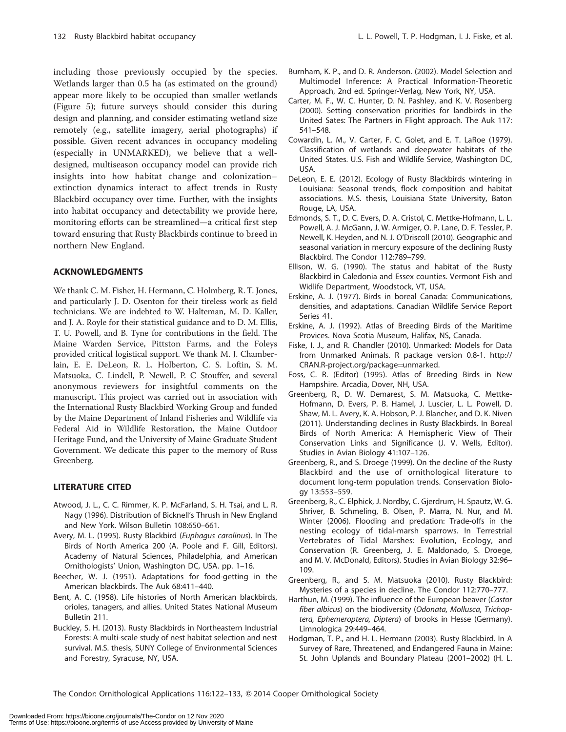including those previously occupied by the species. Wetlands larger than 0.5 ha (as estimated on the ground) appear more likely to be occupied than smaller wetlands (Figure 5); future surveys should consider this during design and planning, and consider estimating wetland size remotely (e.g., satellite imagery, aerial photographs) if possible. Given recent advances in occupancy modeling (especially in UNMARKED), we believe that a welldesigned, multiseason occupancy model can provide rich insights into how habitat change and colonization– extinction dynamics interact to affect trends in Rusty Blackbird occupancy over time. Further, with the insights into habitat occupancy and detectability we provide here, monitoring efforts can be streamlined—a critical first step toward ensuring that Rusty Blackbirds continue to breed in northern New England.

### ACKNOWLEDGMENTS

We thank C. M. Fisher, H. Hermann, C. Holmberg, R. T. Jones, and particularly J. D. Osenton for their tireless work as field technicians. We are indebted to W. Halteman, M. D. Kaller, and J. A. Royle for their statistical guidance and to D. M. Ellis, T. U. Powell, and B. Tyne for contributions in the field. The Maine Warden Service, Pittston Farms, and the Foleys provided critical logistical support. We thank M. J. Chamberlain, E. E. DeLeon, R. L. Holberton, C. S. Loftin, S. M. Matsuoka, C. Lindell, P. Newell, P. C Stouffer, and several anonymous reviewers for insightful comments on the manuscript. This project was carried out in association with the International Rusty Blackbird Working Group and funded by the Maine Department of Inland Fisheries and Wildlife via Federal Aid in Wildlife Restoration, the Maine Outdoor Heritage Fund, and the University of Maine Graduate Student Government. We dedicate this paper to the memory of Russ Greenberg.

# LITERATURE CITED

- Atwood, J. L., C. C. Rimmer, K. P. McFarland, S. H. Tsai, and L. R. Nagy (1996). Distribution of Bicknell's Thrush in New England and New York. Wilson Bulletin 108:650–661.
- Avery, M. L. (1995). Rusty Blackbird (Euphagus carolinus). In The Birds of North America 200 (A. Poole and F. Gill, Editors). Academy of Natural Sciences, Philadelphia, and American Ornithologists' Union, Washington DC, USA. pp. 1–16.
- Beecher, W. J. (1951). Adaptations for food-getting in the American blackbirds. The Auk 68:411–440.
- Bent, A. C. (1958). Life histories of North American blackbirds, orioles, tanagers, and allies. United States National Museum Bulletin 211.
- Buckley, S. H. (2013). Rusty Blackbirds in Northeastern Industrial Forests: A multi-scale study of nest habitat selection and nest survival. M.S. thesis, SUNY College of Environmental Sciences and Forestry, Syracuse, NY, USA.
- Burnham, K. P., and D. R. Anderson. (2002). Model Selection and Multimodel Inference: A Practical Information-Theoretic Approach, 2nd ed. Springer-Verlag, New York, NY, USA.
- Carter, M. F., W. C. Hunter, D. N. Pashley, and K. V. Rosenberg (2000). Setting conservation priorities for landbirds in the United Sates: The Partners in Flight approach. The Auk 117: 541–548.
- Cowardin, L. M., V. Carter, F. C. Golet, and E. T. LaRoe (1979). Classification of wetlands and deepwater habitats of the United States. U.S. Fish and Wildlife Service, Washington DC, USA.
- DeLeon, E. E. (2012). Ecology of Rusty Blackbirds wintering in Louisiana: Seasonal trends, flock composition and habitat associations. M.S. thesis, Louisiana State University, Baton Rouge, LA, USA.
- Edmonds, S. T., D. C. Evers, D. A. Cristol, C. Mettke-Hofmann, L. L. Powell, A. J. McGann, J. W. Armiger, O. P. Lane, D. F. Tessler, P. Newell, K. Heyden, and N. J. O'Driscoll (2010). Geographic and seasonal variation in mercury exposure of the declining Rusty Blackbird. The Condor 112:789–799.
- Ellison, W. G. (1990). The status and habitat of the Rusty Blackbird in Caledonia and Essex counties. Vermont Fish and Widlife Department, Woodstock, VT, USA.
- Erskine, A. J. (1977). Birds in boreal Canada: Communications, densities, and adaptations. Canadian Wildlife Service Report Series 41.
- Erskine, A. J. (1992). Atlas of Breeding Birds of the Maritime Provices. Nova Scotia Museum, Halifax, NS, Canada.
- Fiske, I. J., and R. Chandler (2010). Unmarked: Models for Data from Unmarked Animals. R package version 0.8-1. http:// CRAN.R-project.org/package=unmarked.
- Foss, C. R. (Editor) (1995). Atlas of Breeding Birds in New Hampshire. Arcadia, Dover, NH, USA.
- Greenberg, R., D. W. Demarest, S. M. Matsuoka, C. Mettke-Hofmann, D. Evers, P. B. Hamel, J. Luscier, L. L. Powell, D. Shaw, M. L. Avery, K. A. Hobson, P. J. Blancher, and D. K. Niven (2011). Understanding declines in Rusty Blackbirds. In Boreal Birds of North America: A Hemispheric View of Their Conservation Links and Significance (J. V. Wells, Editor). Studies in Avian Biology 41:107–126.
- Greenberg, R., and S. Droege (1999). On the decline of the Rusty Blackbird and the use of ornithological literature to document long-term population trends. Conservation Biology 13:553–559.
- Greenberg, R., C. Elphick, J. Nordby, C. Gjerdrum, H. Spautz, W. G. Shriver, B. Schmeling, B. Olsen, P. Marra, N. Nur, and M. Winter (2006). Flooding and predation: Trade-offs in the nesting ecology of tidal-marsh sparrows. In Terrestrial Vertebrates of Tidal Marshes: Evolution, Ecology, and Conservation (R. Greenberg, J. E. Maldonado, S. Droege, and M. V. McDonald, Editors). Studies in Avian Biology 32:96– 109.
- Greenberg, R., and S. M. Matsuoka (2010). Rusty Blackbird: Mysteries of a species in decline. The Condor 112:770–777.
- Harthun, M. (1999). The influence of the European beaver (Castor fiber albicus) on the biodiversity (Odonata, Mollusca, Trichoptera, Ephemeroptera, Diptera) of brooks in Hesse (Germany). Limnologica 29:449–464.
- Hodgman, T. P., and H. L. Hermann (2003). Rusty Blackbird. In A Survey of Rare, Threatened, and Endangered Fauna in Maine: St. John Uplands and Boundary Plateau (2001–2002) (H. L.

The Condor: Ornithological Applications 116:122-133, @ 2014 Cooper Ornithological Society